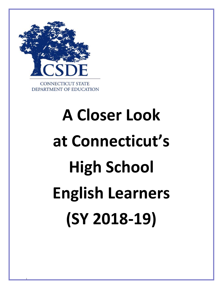

i

# **A Closer Look at Connecticut's High School English Learners (SY 2018-19)**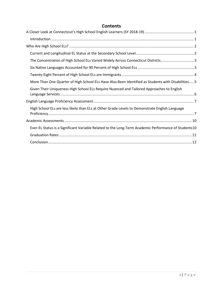# **Contents**

| The Concentration of High School ELs Varied Widely Across Connecticut Districts3                     |
|------------------------------------------------------------------------------------------------------|
|                                                                                                      |
|                                                                                                      |
| More Than One Quarter of High School ELs Have Also Been Identified as Students with Disabilities 5   |
| Given Their Uniqueness High School ELs Require Nuanced and Tailored Approaches to English            |
|                                                                                                      |
| High School ELs are less likely than ELs at Other Grade Levels to Demonstrate English Language       |
|                                                                                                      |
| Ever-EL Status is a Significant Variable Related to the Long-Term Academic Performance of Students10 |
|                                                                                                      |
|                                                                                                      |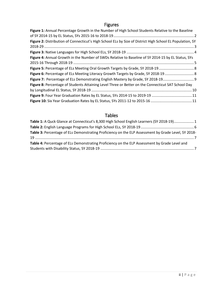# Figures

| Figure 1: Annual Percentage Growth in the Number of High School Students Relative to the Baseline         |  |
|-----------------------------------------------------------------------------------------------------------|--|
|                                                                                                           |  |
| Figure 2: Distribution of Connecticut's High School ELs by Size of District High School EL Population, SY |  |
|                                                                                                           |  |
|                                                                                                           |  |
| Figure 4: Annual Growth in the Number of SWDs Relative to Baseline of SY 2014-15 by EL Status, SYs        |  |
|                                                                                                           |  |
|                                                                                                           |  |
|                                                                                                           |  |
| Figure 7: Percentage of ELs Demonstrating English Mastery by Grade, SY 2018-19                            |  |
| Figure 8: Percentage of Students Attaining Level Three or Better on the Connecticut SAT School Day        |  |
|                                                                                                           |  |
|                                                                                                           |  |
|                                                                                                           |  |

# Tables

| Table 1: A Quck Glance at Connecticut's 8,300 High School English Learners (SY 2018-19)1            |  |
|-----------------------------------------------------------------------------------------------------|--|
|                                                                                                     |  |
| Table 3: Percentage of ELs Demonstrating Proficiency on the ELP Assessment by Grade Level, SY 2018- |  |
| Table 4: Percentage of ELs Demonstrating Proficiency on the ELP Assessment by Grade Level and       |  |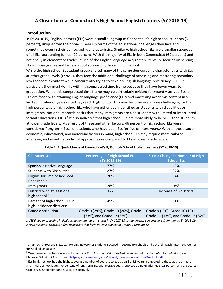# <span id="page-3-0"></span>**A Closer Look at Connecticut's High School English Learners (SY 2018-19)**

#### <span id="page-3-1"></span>**Introduction**

In SY 2018-19, English learners (ELs) were a small subgroup of Connecticut's high school students (5 percent), unique from their non-EL peers in terms of the educational challenges they face and sometimes even in their demographic characteristics. Similarly, high school ELs are a smaller subgroup of all ELs, accounting for just 20 percent. With the majority of ELs in both Connecticut (62 percent) and nationally in elementary grades, much of the English language acquisition literature focuses on serving ELs in those grades and far less about supporting those in high school.

While the high school EL student group shared many of the same demographic characteristics with ELs at other grade levels (**[Table 1](#page-3-2)**), they face the additional challenge of accessing and mastering secondarylevel academic content while concurrently trying to develop English language proficiency (ELP). In particular, they must do this within a compressed time frame because they have fewer years to graduation. While this compressed time frame may be particularly evident for recently arrived ELs, all ELs are faced with attaining English language proficiency (ELP) and mastering academic content in a limited number of years once they reach high school. This may become even more challenging for the high percentage of high school ELs who have either been identified as students with disabilities or immigrants. National research posits that many immigrants are also students with limited or interrupted formal education (SLIFE).<sup>[1](#page-3-3)</sup> It also indicates that high school ELs are more likely to be SLIFE than students at lower grade levels.<sup>[2](#page-3-4)</sup> As a result of these and other factors, 46 percent of high school ELs were considered "long term ELs," or students who have been ELs for five or more years.<sup>[3](#page-3-5)</sup> With all these socioeconomic, educational, and individual factors in mind, high school ELs may require more tailored, intensive, and novel instructional approaches as compared to ELs at lower grade levels.

<span id="page-3-2"></span>

| <b>Characteristic</b>                                                  | <b>Percentage of High School ELs</b><br>$(SY 2018-19)$               | 5-Year Change in Number of High<br><b>School ELs</b>                 |
|------------------------------------------------------------------------|----------------------------------------------------------------------|----------------------------------------------------------------------|
| Spanish is Native Language                                             | 77%                                                                  | 13%                                                                  |
| <b>Students with Disabilities</b>                                      | 27%                                                                  | 37%                                                                  |
| Eligible for Free or Reduced<br><b>Price Meals</b>                     | 78%                                                                  | 8%                                                                   |
| Immigrants                                                             | 28%                                                                  | $3\%$ <sup>1</sup>                                                   |
| Districts with at least one<br>high school EL                          | 127                                                                  | Increase of 5 districts                                              |
| Percent of high school ELs in<br>high-incidence districts <sup>2</sup> | 45%                                                                  | 0%                                                                   |
| Grade distribution                                                     | Grade 9 (29%), Grade 10 (26%), Grade<br>11 (23%), and Grade 12 (22%) | Grade 9 (-5%), Grade 10 (13%),<br>Grade 11 (13%), and Grade 12 (34%) |

#### **Table 1: A Quick Glance at Connecticut's 8,300 High School English Learners (SY 2018-19)**

*1-CSDE began collecting individual student immigrant status in SY 2017-18 so the growth percentage is from then to SY 2018-19. 2-High Incidence Districts refers to districts that have at least 500 ELs in Grades 9 through 12.*

<span id="page-3-3"></span> <sup>1</sup> Short, D., & Boyson, B. (2012). Helping newcomer students succeed in secondary schools and beyond. Washington, DC: Center for Applied Linguistics.

<span id="page-3-4"></span><sup>2</sup> Wisconsin Center for Education Research (2015). *Focus on SLIFE: Students with limited or interrupted formal education.*  Madison, WI: WIDA Consortium.<https://wida.wisc.edu/sites/default/files/resource/FocusOn-SLIFE.pdf>

<span id="page-3-5"></span> $3$  ELs in high school had the highest average number of years reported as an EL (5.3 years) compared to those at the primary and middle school levels. Percentage of long-term ELs and average years reported as EL: Grades PK-5, 18 percent and 2.8 years; Grades 6-8, 54 percent and 5 years respectively.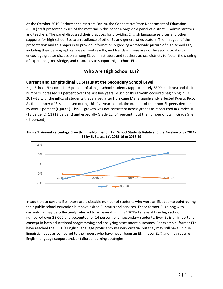At the October 2019 Performance Matters Forum, the Connecticut State Department of Education (CSDE) staff presented much of the material in this paper alongside a panel of district EL administrators and teachers. The panel discussed their practices for providing English language services and other supports for high school ELs to an audience of other EL and generalist educators. The first goal of the presentation and this paper is to provide information regarding a statewide picture of high school ELs, including their demographics, assessment results, and trends in these areas. The second goal is to encourage greater discussion among EL administrators and teachers across districts to foster the sharing of experience, knowledge, and resources to support high school ELs.

# **Who Are High School ELs?**

#### <span id="page-4-1"></span><span id="page-4-0"></span>**Current and Longitudinal EL Status at the Secondary School Level**

High School ELs comprise 5 percent of all high school students (approximately 8300 students) and their numbers increased 11 percent over the last five years. Much of this growth occurred beginning in SY 2017-18 with the influx of students that arrived after Hurricane Maria significantly affected Puerto Rico. As the number of ELs increased during this five year period, the number of their non-EL peers declined by over 2 percent (**[Figure 1](#page-4-2)**). This EL growth was not consistent across grades as it occurred in Grades 10 (13 percent), 11 (13 percent) and especially Grade 12 (34 percent), but the number of ELs in Grade 9 fell (-5 percent).



<span id="page-4-2"></span>**Figure 1: Annual Percentage Growth in the Number of High School Students Relative to the Baseline of SY 2014- 15 by EL Status, SYs 2015-16 to 2018-19**

In addition to current-ELs, there are a sizeable number of students who were an EL at some point during their public school education but have exited EL status and services. These former-ELs along with current-ELs may be collectively referred to as "ever-ELs." In SY 2018-19, ever-ELs in high school numbered over 23,000 and accounted for 14 percent of all secondary students. Ever-EL is an important concept in both educational programming and analyzing assessment outcomes. For example, former-ELs have reached the CSDE's English language proficiency mastery criteria, but they may still have unique linguistic needs as compared to their peers who have never been an EL ("never-EL") and may require English language support and/or tailored learning strategies.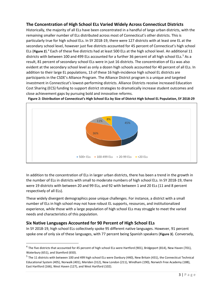#### <span id="page-5-0"></span>**The Concentration of High School ELs Varied Widely Across Connecticut Districts**

Historically, the majority of all ELs have been concentrated in a handful of large urban districts, with the remaining smaller number of ELs distributed across most of Connecticut's other districts. This is particularly true for high school ELs. In SY 2018-19, there were 127 districts with at least one EL at the secondary school level, however just five districts accounted for 45 percent of Connecticut's high school ELs (**[Figure 2](#page-5-2)**).[4](#page-5-3) Each of these five districts had at least 500 ELs at the high school level. An additional 11 districts with between 100 and 499 ELs accounted for a further 36 percent of all high school ELs.<sup>[5](#page-5-4)</sup> As a result, 81 percent of secondary school ELs were in just 16 districts. The concentration of ELs was also evident at the secondary school level as only a dozen high schools accounted for 40 percent of all ELs. In addition to their large EL populations, 13 of these 16 high-incidence high school EL districts are participants in the CSDE's Alliance Program. The Alliance District program is a unique and targeted investment in Connecticut's lowest-performing districts. Alliance Districts receive increased Education Cost Sharing (ECS) funding to support district strategies to dramatically increase student outcomes and close achievement gaps by pursuing bold and innovative reforms.

<span id="page-5-2"></span>



In addition to the concentration of ELs in larger urban districts, there has been a trend in the growth in  the number of ELs in districts with small to moderate numbers of high school ELs. In SY 2018-19, there were 19 districts with between 20 and 99 ELs, and 92 with between 1 and 20 ELs (11 and 8 percent respectively of all ELs).

These widely divergent demographics pose unique challenges. For instance, a district with a small number of ELs in high school may not have robust EL supports, resources, and institutionalized experience, while those with a large population of high school ELs may struggle to meet the varied needs and characteristics of this population.

#### <span id="page-5-1"></span>**Six Native Languages Accounted for 90 Percent of High School ELs**

In SY 2018-19, high school ELs collectively spoke 95 different native languages. However, 91 percent spoke one of only six of these languages, with 77 percent being Spanish speakers (**[Figure 3](#page-6-1)**). Conversely,

<span id="page-5-3"></span> $4$  The five districts that accounted for 45 percent of high school ELs were Hartford (901), Bridgeport (814), New Haven (701), Waterbury (651), and Stamford (650).

<span id="page-5-4"></span> $<sup>5</sup>$  The 11 districts with between 100 and 499 high school ELs were Danbury (440), New Britain (431), the Connecticut Technical</sup> Educational System (405), Norwalk (401), Meriden (312), New London (211), Windham (190), Norwich Free Academy (188), East Hartford (166), West Haven (127), and West Hartford (102).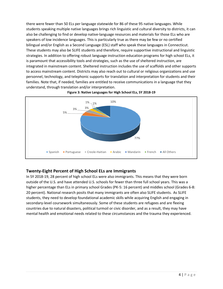there were fewer than 50 ELs per language statewide for 86 of these 95 native languages. While students speaking multiple native languages brings rich linguistic and cultural diversity to districts, it can also be challenging to find or develop native-language resources and materials for those ELs who are speakers of low incidence languages. This is particularly true as there may be few or no certified bilingual and/or English as a Second Language (ESL) staff who speak these languages in Connecticut. These students may also be SLIFE students and therefore, require supportive instructional and linguistic strategies. In addition to offering robust language instruction education programs for high school ELs, it is paramount that accessibility tools and strategies, such as the use of sheltered instruction, are integrated in mainstream content. Sheltered instruction includes the use of scaffolds and other supports to access mainstream content. Districts may also reach out to cultural or religious organizations and use personnel, technology, and telephonic supports for translation and interpretation for students and their families. Note that, if needed, families are entitled to receive communications in a language that they understand, through translation and/or interpretation.



<span id="page-6-1"></span>

## <span id="page-6-0"></span>**Twenty-Eight Percent of High School ELs are Immigrants**

In SY 2018-19, 28 percent of high school ELs were also immigrants. This means that they were born outside of the U.S. and have attended U.S. schools for fewer than three full school years. This was a higher percentage than ELs in primary school Grades (PK-5: 16 percent) and middles school (Grades 6-8: 20 percent). National research posits that many immigrants are often also SLIFE students. As SLIFE students, they need to develop foundational academic skills while acquiring English and engaging in secondary-level coursework simultaneously. Some of these students are refugees and are fleeing countries due to natural disasters, political turmoil or civic disorder, and as a result, they may have mental health and emotional needs related to these circumstances and the trauma they experienced.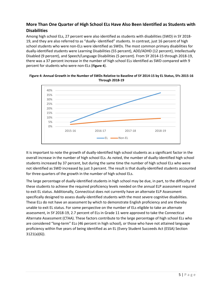## <span id="page-7-0"></span>**More Than One Quarter of High School ELs Have Also Been Identified as Students with Disabilities**

Among high school ELs, 27 percent were also identified as students with disabilities (SWD) in SY 2018- 19, and they are also referred to as "dually- identified" students. In contrast, just 16 percent of high school students who were non-ELs were identified as SWDs. The most common primary disabilities for dually-identified students were Learning Disabilities (55 percent), ADD/ADHD (12 percent), Intellectually Disabled (9 percent), and Speech/Language Disabilities (5 percent). From SY 2014-15 through 2018-19, there was a 37 percent increase in the number of high school ELs identified as SWD compared with 9 percent for students who were non-ELs (**[Figure 4](#page-7-1)**).



<span id="page-7-1"></span>**Figure 4: Annual Growth in the Number of SWDs Relative to Baseline of SY 2014-15 by EL Status, SYs 2015-16 Through 2018-19**

It is important to note the growth of dually-identified high school students as a significant factor in the overall increase in the number of high school ELs. As noted, the number of dually-identified high school students increased by 37 percent, but during the same time the number of high school ELs who were not identified as SWD increased by just 3 percent. The result is that dually-identified students accounted for three quarters of the growth in the number of high school ELs.

The large percentage of dually-identified students in high school may be due, in part, to the difficulty of these students to achieve the required proficiency levels needed on the annual ELP assessment required to exit EL status. Additionally, Connecticut does not currently have an alternate ELP Assessment specifically designed to assess dually-identified students with the most severe cognitive disabilities. These ELs do not have an assessment by which to demonstrate English proficiency and are thereby unable to exit EL status. For some perspective on the number of ELs eligible to take an alternate assessment, in SY 2018-19, 2.7 percent of ELs in Grade 11 were approved to take the Connecticut Alternate Assessment (CTAA). These factors contribute to the large percentage of high school ELs who are considered "long-term" ELs (46 percent in high school), or those who have not attained language proficiency within five years of being identified as an EL (Every Student Succeeds Act (ESSA) Section 3121(a)(6)).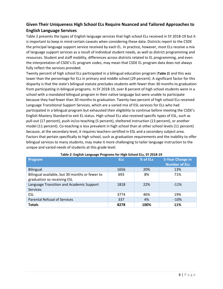# <span id="page-8-0"></span>**Given Their Uniqueness High School ELs Require Nuanced and Tailored Approaches to English Language Services**

Table 2 presents the types of English language services that high school ELs received in SY 2018-19 but it is important to keep in mind certain caveats when considering these data. Districts report to the CSDE the principal language support service received by each EL. In practice, however, most ELs receive a mix of language support services as a result of individual student needs, as well as district programming and resources. Student and staff mobility, differences across districts related to EL programming, and even the interpretation of CSDE's EL program codes, may mean that CSDE EL program data does not always fully reflect the services provided.

Twenty percent of high school ELs participated in a bilingual education program (**[Table 2](#page-8-1)**) and this was lower than the percentage for ELs in primary and middle school (29 percent). A significant factor for this disparity is that the state's bilingual statute precludes students with fewer than 30 months to graduation from participating in bilingual programs. In SY 2018-19, over 8 percent of high school students were in a school with a mandated bilingual program in their native language but were unable to participate because they had fewer than 30 months to graduation. Twenty-two percent of high school ELs received Language Transitional Support Services, which are a varied mix of ESL services for ELs who had participated in a bilingual program but exhausted their eligibility to continue before meeting the CSDE's English Mastery Standard to exit EL status. High school ELs also received specific types of ESL, such as pull-out (17 percent), push-in/co-teaching (5 percent), sheltered instruction (13 percent), or another model (11 percent). Co-teaching is less prevalent in high school than at other school levels (11 percent) because, at the secondary level, it requires teachers certified in ESL and a secondary subject area. Factors that pertain specifically to high school, such as graduation requirements and the inability to offer bilingual services to many students, may make it more challenging to tailor language instruction to the unique and varied needs of students at this grade level.

<span id="page-8-1"></span>

| Program                                                                       | <b>ELs</b> | % of ELs | 5-Year Change in<br><b>Number of ELs</b> |
|-------------------------------------------------------------------------------|------------|----------|------------------------------------------|
| Bilingual                                                                     | 1656       | 20%      | 13%                                      |
| Bilingual available, but 30 months or fewer to<br>graduation so receiving ESL | 693        | 8%       | 71%                                      |
| Language Transition and Academic Support<br><b>Services</b>                   | 1818       | 22%      | $-11%$                                   |
| <b>ESL</b>                                                                    | 3774       | 46%      | 19%                                      |
| <b>Parental Refusal of Services</b>                                           | 337        | 4%       | $-10%$                                   |
| <b>Totals</b>                                                                 | 8278       | 100%     | 11%                                      |

#### **Table 2: English Language Programs for High School ELs, SY 2018-19**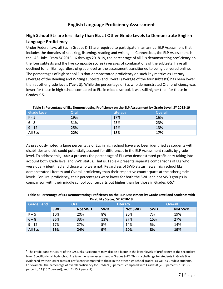# **English Language Proficiency Assessment**

# <span id="page-9-1"></span><span id="page-9-0"></span>**High School ELs are less likely than ELs at Other Grade Levels to Demonstrate English Language Proficiency**

Under Federal law, all ELs in Grades K-12 are required to participate in an annual ELP Assessment that includes the domains of speaking, listening, reading and writing. In Connecticut, the ELP Assessment is the LAS Links. From SY 2015-16 through 2018-19, the percentage of all ELs demonstrating proficiency on the four subtests and the five composite scores (averages of combinations of the subtests) have all declined for all ELs regardless of grade level as the assessment transitioned to being delivered online. The percentages of high school ELs that demonstrated proficiency on such key metrics as Literacy (average of the Reading and Writing subtests) and Overall (average of the four subtests) has been lower than at other grade levels (**[Table](#page-9-2) 3**). While the percentage of ELs who demonstrated Oral proficiency was lower for those in high school compared to ELs in middle school, it was still higher than for those in Grades K-5.

<span id="page-9-2"></span>

| Grade Level    | Oral | Literacy | Overall |
|----------------|------|----------|---------|
| K - 5          | 19%  | 17%      | 16%     |
| $6 - 8$        | 31%  | 23%      | 23%     |
| $9 - 12$       | 25%  | 12%      | 13%     |
| <b>All ELs</b> | 22%  | 18%      | 17%     |

#### **Table 3: Percentage of ELs Demonstrating Proficiency on the ELP Assessment by Grade Level, SY 2018-19**

As previously noted, a large percentage of ELs in high school have also been identified as students with disabilities and this could potentially account for differences in the ELP Assessment results by grade level. To address this, **[Table 4](#page-9-3)** presents the percentage of ELs who demonstrated proficiency taking into account both grade level and SWD status. That is, Table 4 presents separate comparisons of ELs who were dually identified and those who were not. Regardless of SWD status, fewer high school ELs demonstrated Literacy and Overall proficiency than their respective counterparts at the other grade levels. For Oral proficiency, their percentages were lower for both the SWD and not SWD groups in comparison with their middle school counterparts but higher than for those in Grades K-5. [6](#page-9-4)

| <b>DISADIIIIV STATUS, ST ZUIO-19</b> |            |                |                 |                |            |                |
|--------------------------------------|------------|----------------|-----------------|----------------|------------|----------------|
| <b>Grade Band</b>                    | Oral       |                | <b>Literacy</b> |                |            | <b>Overall</b> |
|                                      | <b>SWD</b> | <b>Not SWD</b> | <b>SWD</b>      | <b>Not SWD</b> | <b>SWD</b> | <b>Not SWD</b> |
| $K - 5$                              | 10%        | 20%            | 8%              | 20%            | 7%         | 19%            |
| $6 - 8$                              | 26%        | 33%            | 13%             | 27%            | 15%        | 27%            |
| $9 - 12$                             | 17%        | 27%            | 5%              | 14%            | 5%         | 14%            |
| <b>All ELs</b>                       | 16%        | 24%            | 9%              | 20%            | 8%         | 19%            |

#### <span id="page-9-3"></span>**Table 4: Percentage of ELs Demonstrating Proficiency on the ELP Assessment by Grade Level and Students with Disability Status, SY 2018-19**

<span id="page-9-4"></span> $6$  The grade-band structure of the LAS Links Assessment may also be a factor in the lower levels of proficiency at the secondary level. Specifically, all high school ELs take the same assessment in Grades 9-12. This is a challenge for students in Grade 9 as evidenced by their lower rates of proficiency compared to those in the other high school grades, as well as Grade 8 students. For example, the percentage of overall proficiency for Grade 9 (8 percent) compared with Grades 8 (26.9 percent), 10 (13.5 percent), 11 (15.7 percent), and 12 (15.7 percent).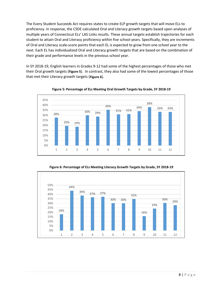The Every Student Succeeds Act requires states to create ELP growth targets that will move ELs to proficiency. In response, the CSDE calculated Oral and Literacy growth targets based upon analyses of multiple years of Connecticut ELs' LAS Links results. These annual targets establish trajectories for each student to attain Oral and Literacy proficiency within five school years. Specifically, they are increments of Oral and Literacy scale-score points that each EL is expected to grow from one school year to the next. Each EL has individualized Oral and Literacy growth targets that are based on the combination of their grade and performance levels in the previous school year.

In SY 2018-19, English learners in Grades 9-12 had some of the highest percentages of those who met their Oral growth targets (**[Figure 5](#page-10-0)**). In contrast, they also had some of the lowest percentages of those that met their Literacy growth targets (**[Figure 6](#page-10-1)**).



<span id="page-10-0"></span>**Figure 5: Percentage of ELs Meeting Oral Growth Targets by Grade, SY 2018-19**

**Figure 6: Percentage of ELs Meeting Literacy Growth Targets by Grade, SY 2018-19**

<span id="page-10-1"></span>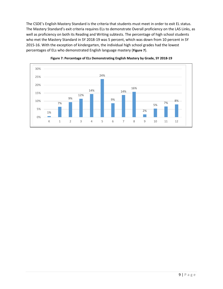The CSDE's English Mastery Standard is the criteria that students must meet in order to exit EL status. The Mastery Standard's exit criteria requires ELs to demonstrate Overall proficiency on the LAS Links, as well as proficiency on both its Reading and Writing subtests. The percentage of high school students who met the Mastery Standard in SY 2018-19 was 5 percent, which was down from 10 percent in SY 2015-16. With the exception of kindergarten, the individual high school grades had the lowest percentages of ELs who demonstrated English language mastery (**[Figure 7](#page-11-0)**).



<span id="page-11-0"></span>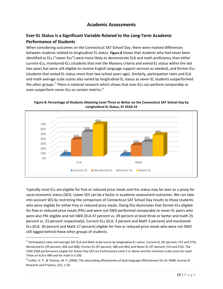## **Academic Assessments**

# <span id="page-12-1"></span><span id="page-12-0"></span>**Ever-EL Status is a Significant Variable Related to the Long-Term Academic Performance of Students**

When considering outcomes on the Connecticut SAT School Day, there were marked differences between students related to longitudinal EL status. **[Figure 8](#page-12-2)** shows that students who had never been identified as ELs ("never-ELs") were more likely to demonstrate ELA and math proficiency than either current-ELs, monitored-ELs (students that met the Mastery criteria and exited EL status within the last two years but were still eligible to receive English language support services as needed), and former-ELs (students that exited EL status more than two school years ago). Similarly, participation rates and ELA and math average scale scores also varied by longitudinal EL status as never-EL students outperformed the other groups.<sup>[7](#page-12-3)</sup> There is national research which shows that ever-ELs can perform comparably or even outperform never-ELs on certain metrics.<sup>[8](#page-12-4)</sup>

0% 10% 20% 30% 40% 50% 60% 70% ELA Math <mark>3% 3% 3% 3%</mark> 3% 35% 23% 50% 30% 66% 44% ■ Current-EL ■ Monitored-EL ■ Former-EL ■ Never-EL

<span id="page-12-2"></span>**Figure 8: Percentage of Students Attaining Level Three or Better on the Connecticut SAT School Day by Longitudinal EL Status, SY 2018-19**

Typically most ELs are eligible for free or reduced price meals and this status may be seen as a proxy for socio-economic status (SES). Lower SES can be a factor in academic assessment outcomes. We can take into account SES by restricting the comparison of Connecticut SAT School Day results to those students who were eligible for either free or reduced price meals. Doing this illuminates that former-ELs eligible for free or reduced price meals (FRL) and were not SWD performed comparably to never-EL peers who were also FRL eligible and not SWD (ELA 47 percent vs. 49 percent at level three or better and math 25 percent vs. 23 percent respectively). Current-ELs (ELA: 3 percent and Math 3 percent) and monitored-ELs (ELA: 30 percent and Math 17 percent) eligible for free or reduced price meals who were not SWD still lagged behind these other groups of students.

<span id="page-12-3"></span> $^7$  Participation rates and average SAT ELA and Math Scale scores by longitudinal EL status: Current-EL (91 percent; 372 and 373), Monitored-EL (93 percent; 458 and 468), Former-EL (97 percent; 486 and 481) and Never-EL (97 percent; 524 and 516). The CSDE ESSA performance targets for School Day SAT are Performance Level 3 or above and the minimum scale score for Level Three on ELA is 480 and for math it is 530.

<span id="page-12-4"></span><sup>8</sup> Collier, V. P., & Thomas, W. P. (2004). The astounding effectiveness of dual language effectiveness for all. NABE Journal of Research and Practice, 2(1), 1-20.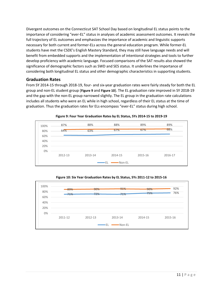Divergent outcomes on the Connecticut SAT School Day based on longitudinal EL status points to the importance of considering "ever-EL" status in analyses of academic assessment outcomes. It reveals the full trajectory of EL outcomes and emphasizes the importance of academic and linguistic supports necessary for both current and former-ELs across the general education program. While former-EL students have met the CSDE's English Mastery Standard, they may still have language needs and will benefit from embedded supports and the implementation of intentional strategies and tools to further develop proficiency with academic language. Focused comparisons of the SAT results also showed the significance of demographic factors such as SWD and SES status. It underlines the importance of considering both longitudinal EL status and other demographic characteristics in supporting students.

#### <span id="page-13-0"></span>**Graduation Rates**

From SY 2014-15 through 2018-19, four- and six-year graduation rates were fairly steady for both the EL group and non-EL student group (**[Figure 9](#page-13-1)** and **[Figure 10](#page-13-2)**). The EL graduation rate improved in SY 2018-19 and the gap with the non-EL group narrowed slightly. The EL group in the graduation rate calculations includes all students who were an EL while in high school, regardless of their EL status at the time of graduation. Thus the graduation rates for ELs encompass "ever-EL" status during high school.



<span id="page-13-1"></span>



<span id="page-13-2"></span>